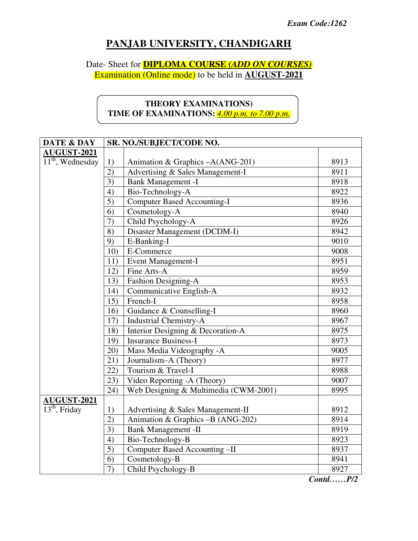# **PANJAB UNIVERSITY, CHANDIGARH**

## Date- Sheet for **DIPLOMA COURSE** *(ADD ON COURSES)* Examination (Online mode) to be held in **AUGUST-2021**

# **THEORY EXAMINATIONS) TIME OF EXAMINATIONS:** *4.00 p.m. to 7.00 p.m.*

| DATE & DAY         | SR. NO./SUBJECT/CODE NO. |                                       |                      |
|--------------------|--------------------------|---------------------------------------|----------------------|
| <b>AUGUST-2021</b> |                          |                                       |                      |
| $11th$ , Wednesday | 1)                       | Animation & Graphics -A(ANG-201)      | 8913                 |
|                    | $\overline{2})$          | Advertising & Sales Management-I      | 8911                 |
|                    | 3)                       | <b>Bank Management -I</b>             | 8918                 |
|                    | 4)                       | Bio-Technology-A                      | 8922                 |
|                    | $\overline{5}$           | <b>Computer Based Accounting-I</b>    | 8936                 |
|                    | 6)                       | Cosmetology-A                         | 8940                 |
|                    | 7)                       | Child Psychology-A                    | 8926                 |
|                    | 8)                       | Disaster Management (DCDM-I)          | 8942                 |
|                    | 9)                       | E-Banking-I                           | 9010                 |
|                    | 10)                      | E-Commerce                            | 9008                 |
|                    | 11)                      | <b>Event Management-I</b>             | 8951                 |
|                    | 12)                      | Fine Arts-A                           | 8959                 |
|                    | 13)                      | Fashion Designing-A                   | 8953                 |
|                    | 14)                      | Communicative English-A               | 8932                 |
|                    | 15)                      | French-I                              | 8958                 |
|                    | 16)                      | Guidance & Counselling-I              | 8960                 |
|                    | 17)                      | <b>Industrial Chemistry-A</b>         | 8967                 |
|                    | 18)                      | Interior Designing & Decoration-A     | 8975                 |
|                    | 19)                      | <b>Insurance Business-I</b>           | 8973                 |
|                    | 20)                      | Mass Media Videography -A             | 9005                 |
|                    | 21)                      | Journalism-A (Theory)                 | 8977                 |
|                    | 22)                      | Tourism & Travel-I                    | 8988                 |
|                    | 23)                      | Video Reporting -A (Theory)           | 9007                 |
|                    | 24)                      | Web Designing & Multimedia (CWM-2001) | 8995                 |
| <b>AUGUST-2021</b> |                          |                                       |                      |
| $13th$ , Friday    | 1)                       | Advertising & Sales Management-II     | 8912                 |
|                    | $\overline{2)}$          | Animation & Graphics -B (ANG-202)     | 8914                 |
|                    | $\overline{3}$           | <b>Bank Management -II</b>            | 8919                 |
|                    | 4)                       | Bio-Technology-B                      | 8923                 |
|                    | $\overline{5)}$          | Computer Based Accounting -II         | 8937                 |
|                    | 6)                       | Cosmetology-B                         | 8941                 |
|                    | $\overline{7}$           | Child Psychology-B<br>$\sim$          | 8927<br>$\mathbf{r}$ |

*Contd……P/2*